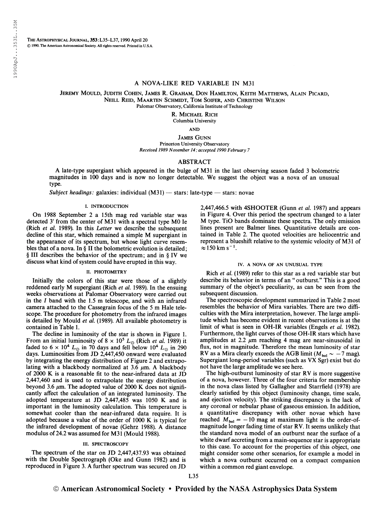THE ASTROPHYSICAL JOURNAL, 353: L35-L37, 1990 April 20 © 1990. The American Astronomical Society. All rights reserved. Printed in U.S.A.

## A NOVA-LIKE RED VARIABLE IN M31

Jeremy Mould, Judith Cohen, James R. Graham, Don Hamilton, Keith Matthews, Alain Picard, Neill Reid, Maarten Schmidt, Tom Soifer, and Christine Wilson Palomar Observatory, California Institute of Technology

R. Michael Rich

Columbia University

AND

James Gunn Princeton University Observatory Received 1989 November 14; accepted 1990 February 7

# ABSTRACT

A late-type supergiant which appeared in the bulge of M31 in the last observing season faded 3 bolometric magnitudes in 100 days and is now no longer detectable. We suggest the object was a nova of an unusual type.

Subject headings: galaxies: individual  $(M31)$  — stars: late-type — stars: novae

### I. INTRODUCTION

On 1988 September 2 a 15th mag red variable star was detected 3' from the center of M31 with a spectral type MO le (Rich et al. 1989). In this Letter we describe the subsequent decline of this star, which remained a simple M supergiant in the appearance of its spectrum, but whose light curve resembles that of a nova. In § II the bolometric evolution is detailed; § III describes the behavior of the spectrum; and in § IV we discuss what kind of system could have erupted in this way.

#### II. PHOTOMETRY

Initially the colors of this star were those of a slightly reddened early M supergiant (Rich et al. 1989). In the ensuing weeks observations at Palomar Observatory were carried out in the I band with the 1.5 m telescope, and with an infrared camera attached to the Cassegrain focus of the 5 m Hale telescope. The procedure for photometry from the infrared images is detailed by Mould et al. (1989). All available photometry is contained in Table 1.

The decline in luminosity of the star is shown in Figure 1. From an initial luminosity of  $8 \times 10^5 L_{\odot}$  (Rich *et al.* 1989) it faded to  $6 \times 10^4$  L<sub>o</sub> in 70 days and fell below  $10^4$  L<sub>o</sub> in 290 days. Luminosities from JD 2,447,450 onward were evaluated by integrating the energy distribution of Figure 2 and extrapolating with a blackbody normalized at  $3.6 \mu m$ . A blackbody of 2000 K is a reasonable fit to the near-infrared data at JD 2,447,460 and is used to extrapolate the energy distribution beyond 3.6  $\mu$ m. The adopted value of 2000 K does not significantly affect the calculation of an integrated luminosity. The adopted temperature at JD 2,447,485 was 1050 K and is important in the luminosity calculation. This temperature is somewhat cooler than the near-infrared data require. It is adopted because a value of the order of 1000 K is typical for the infrared development of novae (Gehrz 1988). A distance modulus of 24.2 was assumed for M31 (Mould 1988).

### III. SPECTROSCOPY

The spectrum of the star on JD 2,447,437.93 was obtained with the Double Spectrograph (Oke and Gunn 1982) and is reproduced in Figure 3. A further spectrum was secured on JD

2,447,466.5 with 4SHOOTER (Gunn et al. 1987) and appears in Figure 4. Over this period the spectrum changed to a later M type. TiO bands dominate these spectra. The only emission lines present are Balmer lines. Quantitative details are contained in Table 2. The quoted velocities are heliocentric and represent a blueshift relative to the systemic velocity of M31 of represent a blu<br> $\approx$  150 km s<sup>-1</sup>.

#### IV. A NOVA OF AN UNUSUAL TYPE

Rich et al. (1989) refer to this star as a red variable star but describe its behavior in terms of an " outburst." This is a good summary of the object's peculiarity, as can be seen from the subsequent discussion.

The spectroscopic development summarized in Table 2 most resembles the behavior of Mira variables. There are two difficulties with the Mira interpretation, however. The large amplitude which has become evident in recent observations is at the limit of what is seen in OH-IR variables (Engels et al. 1982). Furthermore, the light curves of those OH-IR stars which have amplitudes at 2.2  $\mu$ m reaching 4 mag are near-sinusoidal in flux, not in magnitude. Therefore the mean luminosity of star RV as a Mira clearly exceeds the AGB limit ( $M_{bol} \sim -7$  mag). Supergiant long-period variables (such as VX Sgr) exist but do not have the large amplitude we see here.

The high-outburst luminosity of star RV is more suggestive of a nova, however. Three of the four criteria for membership in the nova class listed by Gallagher and Starrfield (1978) are clearly satisfied by this object (luminosity change, time scale, and ejection velocity). The striking discrepancy is the lack of any coronal or nebular phase of gaseous emission. In addition, a quantitative discrepancy with other novae which have reached  $M_{bol} = -10$  mag at maximum light is the order-ofmagnitude longer fading time of star RV. It seems unlikely that the standard nova model of an outburst near the surface of a white dwarf accreting from a main-sequence star is appropriate to this case. To account for the properties of this object, one might consider some other scenarios, for example a model in which a nova outburst occurred on a compact companion within a common red giant envelope.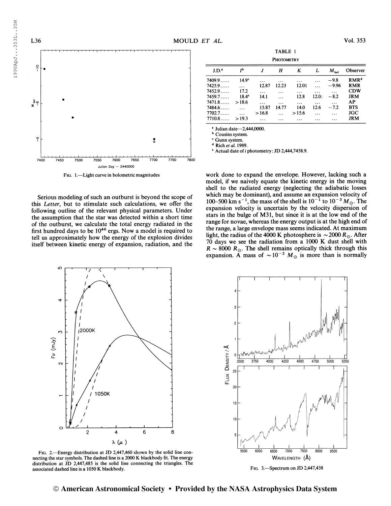$=$ 



Fig. 1.—Light curve in bolometric magnitudes

Serious modeling of such an outburst is beyond the scope of this Letter, but to stimulate such calculations, we offer the following outline of the relevant physical parameters. Under the assumption that the star was detected within a short time of the outburst, we calculate the total energy radiated in the first hundred days to be  $10^{46}$  ergs. Now a model is required to tell us approximately how the energy of the explosion divides itself between kinetic energy of expansion, radiation, and the

|               |                   |          | TABLE 1           |       |       |               |                  |
|---------------|-------------------|----------|-------------------|-------|-------|---------------|------------------|
|               |                   |          | <b>PHOTOMETRY</b> |       |       |               |                  |
| J.D.          | I <sub>p</sub>    | J        | Н                 | K     | L     | $M_{\rm bol}$ | Observer         |
| $7409.9\dots$ | 14.9 <sup>c</sup> |          |                   |       | .     | $-9.8$        | RMR <sup>d</sup> |
| 7425.9        | $\overline{a}$    | 12.87    | 12.23             | 12.01 |       | $-9.96$       | <b>RMR</b>       |
| $7452.9\dots$ | 17.2              | .        |                   |       |       |               | <b>CDW</b>       |
| 7459.7        | $18.4^\circ$      | 14.1     |                   | 12.8  | 12.0: | $-8.2$        | <b>JRM</b>       |
| 7471.8        | >18.6             | $\cdots$ | $\cdots$          |       |       | .             | AP               |
| 7484.6        |                   | 15.87    | 14.77             | 14.0  | 12.6  | $-7.2$        | <b>BTS</b>       |
| $7702.7\dots$ |                   | >16.8    |                   | >15.6 |       |               | <b>JGC</b>       |
| 7710.8        | >19.3             |          |                   |       |       |               | <b>JRM</b>       |
|               |                   |          |                   |       |       |               |                  |

<sup>a</sup> Julian date—2,444,0000.<br><sup>b</sup> Cousins system.

 $^{\circ}$  Cousins system.<br>  $^{\circ}$  Gunn system.<br>  $^{\circ}$  Rich *et al.* 1989.

<sup>e</sup> Actual date of <sup>i</sup> photometry: JD 2,444,7458.9.

work done to expand the envelope. However, lacking such a model, if we naively equate the kinetic energy in the moving shell to the radiated energy (neglecting the adiabatic losses which may be dominant), and assume an expansion velocity of 100–500 km s<sup>-1</sup>, the mass of the shell is  $10^{-1}$  to  $10^{-3}$   $M_{\odot}$ . The expansion velocity is uncertain by the velocity dispersion of stars in the bulge of M31, but since it is at the low end of the range for novae, whereas the energy output is at the high end of the range, a large envelope mass seems indicated. At maximum light, the radius of the 4000 K photosphere is  $\sim$  2000 R<sub>\o</sub>. After 70 days we see the radiation from a 1000 K dust shell with  $R \sim 8000 R_{\odot}$ . The shell remains optically thick through this expansion. A mass of  $\sim 10^{-2} M_{\odot}$  is more than is normally



Fig. 2.—Energy distribution at JD 2,447,460 shown by the solid line connecting the star symbols. The dashed line is a 2000 K blackbody fit. The energy distribution at JD 2,447,485 is the solid line connecting the triangles. The associated dashed line is a 1050 K blackbody.